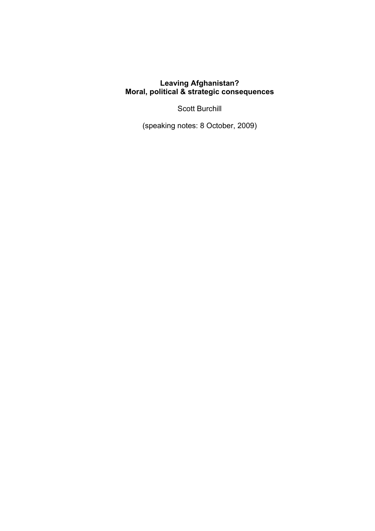## **Leaving Afghanistan? Moral, political & strategic consequences**

Scott Burchill

(speaking notes: 8 October, 2009)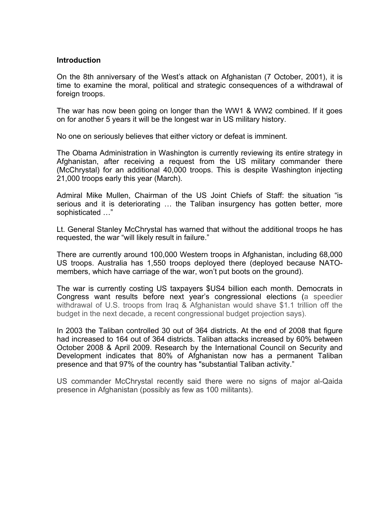#### **Introduction**

On the 8th anniversary of the West's attack on Afghanistan (7 October, 2001), it is time to examine the moral, political and strategic consequences of a withdrawal of foreign troops.

The war has now been going on longer than the WW1 & WW2 combined. If it goes on for another 5 years it will be the longest war in US military history.

No one on seriously believes that either victory or defeat is imminent.

The Obama Administration in Washington is currently reviewing its entire strategy in Afghanistan, after receiving a request from the US military commander there (McChrystal) for an additional 40,000 troops. This is despite Washington injecting 21,000 troops early this year (March).

Admiral Mike Mullen, Chairman of the US Joint Chiefs of Staff: the situation "is serious and it is deteriorating … the Taliban insurgency has gotten better, more sophisticated …"

Lt. General Stanley McChrystal has warned that without the additional troops he has requested, the war "will likely result in failure."

There are currently around 100,000 Western troops in Afghanistan, including 68,000 US troops. Australia has 1,550 troops deployed there (deployed because NATOmembers, which have carriage of the war, won't put boots on the ground).

The war is currently costing US taxpayers \$US4 billion each month. Democrats in Congress want results before next year's congressional elections (a speedier withdrawal of U.S. troops from Iraq & Afghanistan would shave \$1.1 trillion off the budget in the next decade, a recent congressional budget projection says).

In 2003 the Taliban controlled 30 out of 364 districts. At the end of 2008 that figure had increased to 164 out of 364 districts. Taliban attacks increased by 60% between October 2008 & April 2009. Research by the International Council on Security and Development indicates that 80% of Afghanistan now has a permanent Taliban presence and that 97% of the country has "substantial Taliban activity."

US commander McChrystal recently said there were no signs of major al-Qaida presence in Afghanistan (possibly as few as 100 militants).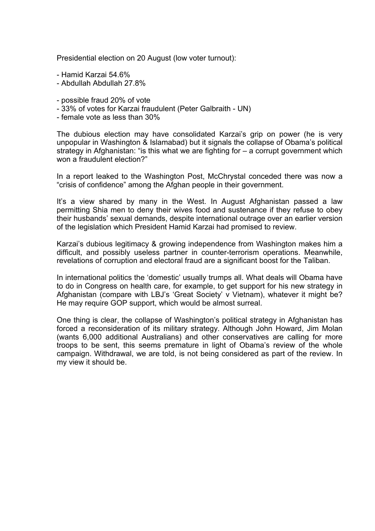Presidential election on 20 August (low voter turnout):

- Hamid Karzai 54.6%
- Abdullah Abdullah 27.8%
- possible fraud 20% of vote
- 33% of votes for Karzai fraudulent (Peter Galbraith UN)
- female vote as less than 30%

The dubious election may have consolidated Karzai's grip on power (he is very unpopular in Washington & Islamabad) but it signals the collapse of Obama's political strategy in Afghanistan: "is this what we are fighting for – a corrupt government which won a fraudulent election?"

In a report leaked to the Washington Post, McChrystal conceded there was now a "crisis of confidence" among the Afghan people in their government.

It's a view shared by many in the West. In August Afghanistan passed a law permitting Shia men to deny their wives food and sustenance if they refuse to obey their husbands' sexual demands, despite international outrage over an earlier version of the legislation which President Hamid Karzai had promised to review.

Karzai's dubious legitimacy & growing independence from Washington makes him a difficult, and possibly useless partner in counter-terrorism operations. Meanwhile, revelations of corruption and electoral fraud are a significant boost for the Taliban.

In international politics the 'domestic' usually trumps all. What deals will Obama have to do in Congress on health care, for example, to get support for his new strategy in Afghanistan (compare with LBJ's 'Great Society' v Vietnam), whatever it might be? He may require GOP support, which would be almost surreal.

One thing is clear, the collapse of Washington's political strategy in Afghanistan has forced a reconsideration of its military strategy. Although John Howard, Jim Molan (wants 6,000 additional Australians) and other conservatives are calling for more troops to be sent, this seems premature in light of Obama's review of the whole campaign. Withdrawal, we are told, is not being considered as part of the review. In my view it should be.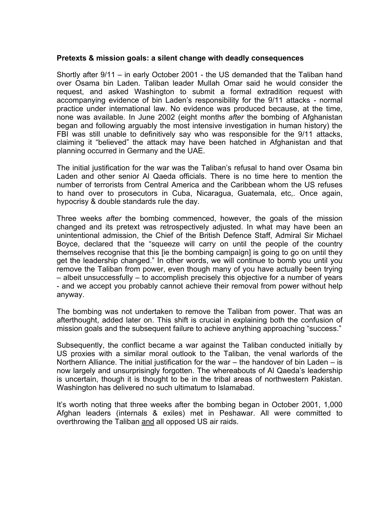### **Pretexts & mission goals: a silent change with deadly consequences**

Shortly after 9/11 – in early October 2001 - the US demanded that the Taliban hand over Osama bin Laden. Taliban leader Mullah Omar said he would consider the request, and asked Washington to submit a formal extradition request with accompanying evidence of bin Laden's responsibility for the 9/11 attacks - normal practice under international law. No evidence was produced because, at the time, none was available. In June 2002 (eight months *after* the bombing of Afghanistan began and following arguably the most intensive investigation in human history) the FBI was still unable to definitively say who was responsible for the 9/11 attacks, claiming it "believed" the attack may have been hatched in Afghanistan and that planning occurred in Germany and the UAE.

The initial justification for the war was the Taliban's refusal to hand over Osama bin Laden and other senior Al Qaeda officials. There is no time here to mention the number of terrorists from Central America and the Caribbean whom the US refuses to hand over to prosecutors in Cuba, Nicaragua, Guatemala, etc,. Once again, hypocrisy & double standards rule the day.

Three weeks *after* the bombing commenced, however, the goals of the mission changed and its pretext was retrospectively adjusted. In what may have been an unintentional admission, the Chief of the British Defence Staff, Admiral Sir Michael Boyce, declared that the "squeeze will carry on until the people of the country themselves recognise that this lie the bombing campaign is going to go on until they get the leadership changed." In other words, we will continue to bomb you until you remove the Taliban from power, even though many of you have actually been trying – albeit unsuccessfully – to accomplish precisely this objective for a number of years - and we accept you probably cannot achieve their removal from power without help anyway.

The bombing was not undertaken to remove the Taliban from power. That was an afterthought, added later on. This shift is crucial in explaining both the confusion of mission goals and the subsequent failure to achieve anything approaching "success."

Subsequently, the conflict became a war against the Taliban conducted initially by US proxies with a similar moral outlook to the Taliban, the venal warlords of the Northern Alliance. The initial justification for the war – the handover of bin Laden – is now largely and unsurprisingly forgotten. The whereabouts of Al Qaeda's leadership is uncertain, though it is thought to be in the tribal areas of northwestern Pakistan. Washington has delivered no such ultimatum to Islamabad.

It's worth noting that three weeks after the bombing began in October 2001, 1,000 Afghan leaders (internals & exiles) met in Peshawar. All were committed to overthrowing the Taliban and all opposed US air raids.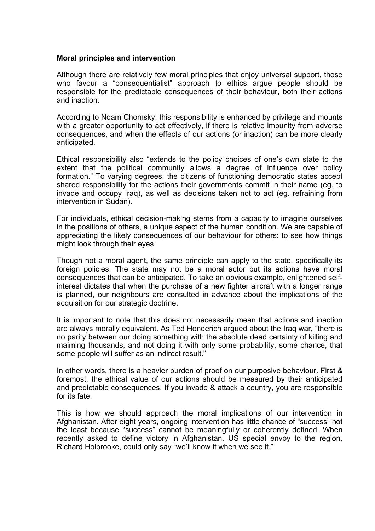## **Moral principles and intervention**

Although there are relatively few moral principles that enjoy universal support, those who favour a "consequentialist" approach to ethics argue people should be responsible for the predictable consequences of their behaviour, both their actions and inaction.

According to Noam Chomsky, this responsibility is enhanced by privilege and mounts with a greater opportunity to act effectively, if there is relative impunity from adverse consequences, and when the effects of our actions (or inaction) can be more clearly anticipated.

Ethical responsibility also "extends to the policy choices of one's own state to the extent that the political community allows a degree of influence over policy formation." To varying degrees, the citizens of functioning democratic states accept shared responsibility for the actions their governments commit in their name (eg. to invade and occupy Iraq), as well as decisions taken not to act (eg. refraining from intervention in Sudan).

For individuals, ethical decision-making stems from a capacity to imagine ourselves in the positions of others, a unique aspect of the human condition. We are capable of appreciating the likely consequences of our behaviour for others: to see how things might look through their eyes.

Though not a moral agent, the same principle can apply to the state, specifically its foreign policies. The state may not be a moral actor but its actions have moral consequences that can be anticipated. To take an obvious example, enlightened selfinterest dictates that when the purchase of a new fighter aircraft with a longer range is planned, our neighbours are consulted in advance about the implications of the acquisition for our strategic doctrine.

It is important to note that this does not necessarily mean that actions and inaction are always morally equivalent. As Ted Honderich argued about the Iraq war, "there is no parity between our doing something with the absolute dead certainty of killing and maiming thousands, and not doing it with only some probability, some chance, that some people will suffer as an indirect result."

In other words, there is a heavier burden of proof on our purposive behaviour. First & foremost, the ethical value of our actions should be measured by their anticipated and predictable consequences. If you invade & attack a country, you are responsible for its fate.

This is how we should approach the moral implications of our intervention in Afghanistan. After eight years, ongoing intervention has little chance of "success" not the least because "success" cannot be meaningfully or coherently defined. When recently asked to define victory in Afghanistan, US special envoy to the region, Richard Holbrooke, could only say "we'll know it when we see it."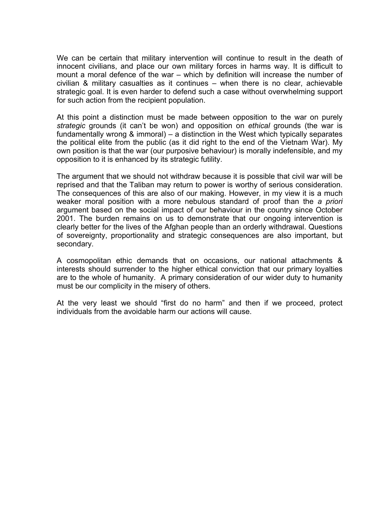We can be certain that military intervention will continue to result in the death of innocent civilians, and place our own military forces in harms way. It is difficult to mount a moral defence of the war – which by definition will increase the number of civilian & military casualties as it continues – when there is no clear, achievable strategic goal. It is even harder to defend such a case without overwhelming support for such action from the recipient population.

At this point a distinction must be made between opposition to the war on purely *strategic* grounds (it can't be won) and opposition on *ethical* grounds (the war is fundamentally wrong & immoral) – a distinction in the West which typically separates the political elite from the public (as it did right to the end of the Vietnam War). My own position is that the war (our purposive behaviour) is morally indefensible, and my opposition to it is enhanced by its strategic futility.

The argument that we should not withdraw because it is possible that civil war will be reprised and that the Taliban may return to power is worthy of serious consideration. The consequences of this are also of our making. However, in my view it is a much weaker moral position with a more nebulous standard of proof than the *a priori* argument based on the social impact of our behaviour in the country since October 2001. The burden remains on us to demonstrate that our ongoing intervention is clearly better for the lives of the Afghan people than an orderly withdrawal. Questions of sovereignty, proportionality and strategic consequences are also important, but secondary.

A cosmopolitan ethic demands that on occasions, our national attachments & interests should surrender to the higher ethical conviction that our primary loyalties are to the whole of humanity. A primary consideration of our wider duty to humanity must be our complicity in the misery of others.

At the very least we should "first do no harm" and then if we proceed, protect individuals from the avoidable harm our actions will cause.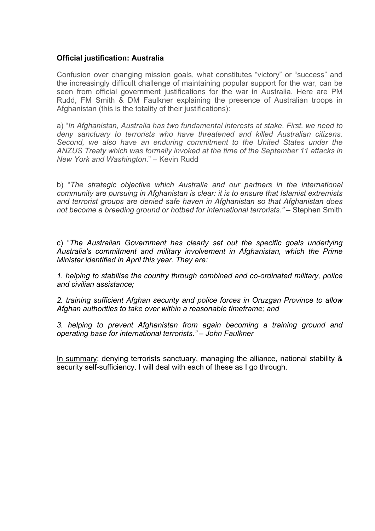# **Official justification: Australia**

Confusion over changing mission goals, what constitutes "victory" or "success" and the increasingly difficult challenge of maintaining popular support for the war, can be seen from official government justifications for the war in Australia. Here are PM Rudd, FM Smith & DM Faulkner explaining the presence of Australian troops in Afghanistan (this is the totality of their justifications):

a) "*In Afghanistan, Australia has two fundamental interests at stake. First, we need to deny sanctuary to terrorists who have threatened and killed Australian citizens. Second, we also have an enduring commitment to the United States under the ANZUS Treaty which was formally invoked at the time of the September 11 attacks in New York and Washington*." – Kevin Rudd

b) "*The strategic objective which Australia and our partners in the international community are pursuing in Afghanistan is clear: it is to ensure that Islamist extremists and terrorist groups are denied safe haven in Afghanistan so that Afghanistan does not become a breeding ground or hotbed for international terrorists."* – Stephen Smith

c) "*The Australian Government has clearly set out the specific goals underlying Australia's commitment and military involvement in Afghanistan, which the Prime Minister identified in April this year. They are:*

*1. helping to stabilise the country through combined and co-ordinated military, police and civilian assistance;*

*2. training sufficient Afghan security and police forces in Oruzgan Province to allow Afghan authorities to take over within a reasonable timeframe; and*

*3. helping to prevent Afghanistan from again becoming a training ground and operating base for international terrorists."* – *John Faulkner*

In summary: denying terrorists sanctuary, managing the alliance, national stability & security self-sufficiency. I will deal with each of these as I go through.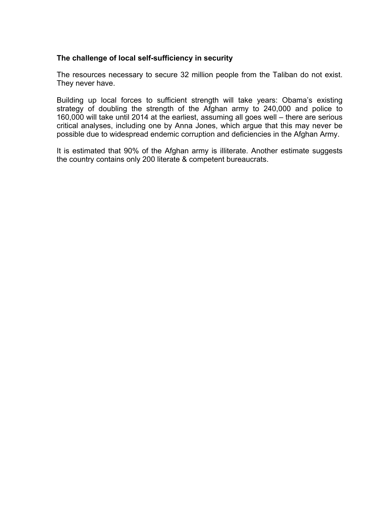## **The challenge of local self-sufficiency in security**

The resources necessary to secure 32 million people from the Taliban do not exist. They never have.

Building up local forces to sufficient strength will take years: Obama's existing strategy of doubling the strength of the Afghan army to 240,000 and police to 160,000 will take until 2014 at the earliest, assuming all goes well – there are serious critical analyses, including one by Anna Jones, which argue that this may never be possible due to widespread endemic corruption and deficiencies in the Afghan Army.

It is estimated that 90% of the Afghan army is illiterate. Another estimate suggests the country contains only 200 literate & competent bureaucrats.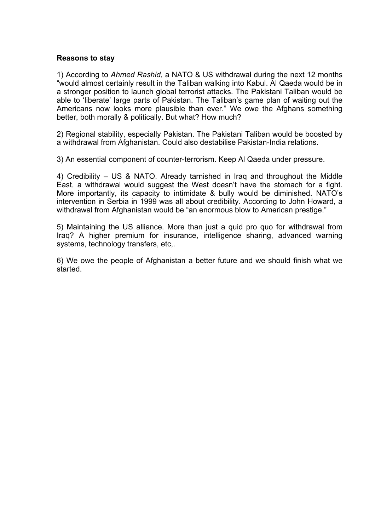### **Reasons to stay**

1) According to *Ahmed Rashid*, a NATO & US withdrawal during the next 12 months "would almost certainly result in the Taliban walking into Kabul. Al Qaeda would be in a stronger position to launch global terrorist attacks. The Pakistani Taliban would be able to 'liberate' large parts of Pakistan. The Taliban's game plan of waiting out the Americans now looks more plausible than ever." We owe the Afghans something better, both morally & politically. But what? How much?

2) Regional stability, especially Pakistan. The Pakistani Taliban would be boosted by a withdrawal from Afghanistan. Could also destabilise Pakistan-India relations.

3) An essential component of counter-terrorism. Keep Al Qaeda under pressure.

4) Credibility – US & NATO. Already tarnished in Iraq and throughout the Middle East, a withdrawal would suggest the West doesn't have the stomach for a fight. More importantly, its capacity to intimidate & bully would be diminished. NATO's intervention in Serbia in 1999 was all about credibility. According to John Howard, a withdrawal from Afghanistan would be "an enormous blow to American prestige."

5) Maintaining the US alliance. More than just a quid pro quo for withdrawal from Iraq? A higher premium for insurance, intelligence sharing, advanced warning systems, technology transfers, etc,.

6) We owe the people of Afghanistan a better future and we should finish what we started.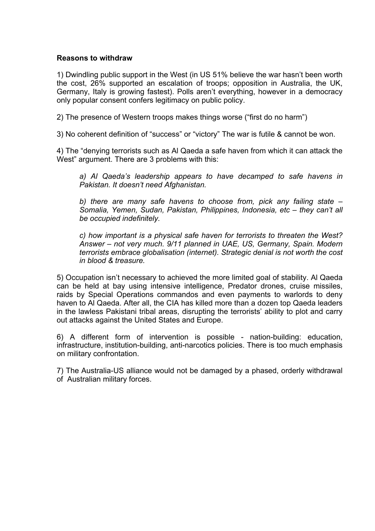## **Reasons to withdraw**

1) Dwindling public support in the West (in US 51% believe the war hasn't been worth the cost, 26% supported an escalation of troops; opposition in Australia, the UK, Germany, Italy is growing fastest). Polls aren't everything, however in a democracy only popular consent confers legitimacy on public policy.

2) The presence of Western troops makes things worse ("first do no harm")

3) No coherent definition of "success" or "victory" The war is futile & cannot be won.

4) The "denying terrorists such as Al Qaeda a safe haven from which it can attack the West" argument. There are 3 problems with this:

*a) Al Qaeda's leadership appears to have decamped to safe havens in Pakistan. It doesn't need Afghanistan.*

*b) there are many safe havens to choose from, pick any failing state – Somalia, Yemen, Sudan, Pakistan, Philippines, Indonesia, etc – they can't all be occupied indefinitely.*

*c) how important is a physical safe haven for terrorists to threaten the West? Answer – not very much. 9/11 planned in UAE, US, Germany, Spain. Modern terrorists embrace globalisation (internet). Strategic denial is not worth the cost in blood & treasure.*

5) Occupation isn't necessary to achieved the more limited goal of stability. Al Qaeda can be held at bay using intensive intelligence, Predator drones, cruise missiles, raids by Special Operations commandos and even payments to warlords to deny haven to Al Qaeda. After all, the CIA has killed more than a dozen top Qaeda leaders in the lawless Pakistani tribal areas, disrupting the terrorists' ability to plot and carry out attacks against the United States and Europe.

6) A different form of intervention is possible - nation-building: education, infrastructure, institution-building, anti-narcotics policies. There is too much emphasis on military confrontation.

7) The Australia-US alliance would not be damaged by a phased, orderly withdrawal of Australian military forces.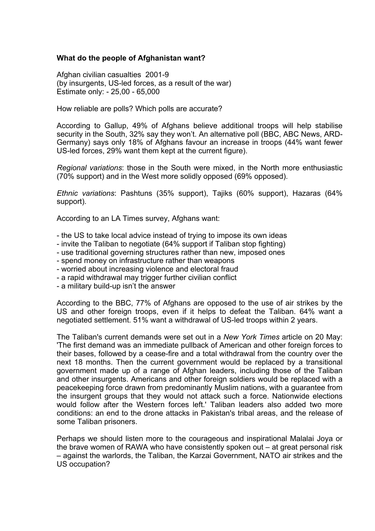## **What do the people of Afghanistan want?**

Afghan civilian casualties 2001-9 (by insurgents, US-led forces, as a result of the war) Estimate only: - 25,00 - 65,000

How reliable are polls? Which polls are accurate?

According to Gallup, 49% of Afghans believe additional troops will help stabilise security in the South, 32% say they won't. An alternative poll (BBC, ABC News, ARD-Germany) says only 18% of Afghans favour an increase in troops (44% want fewer US-led forces, 29% want them kept at the current figure).

*Regional variations*: those in the South were mixed, in the North more enthusiastic (70% support) and in the West more solidly opposed (69% opposed).

*Ethnic variations*: Pashtuns (35% support), Tajiks (60% support), Hazaras (64% support).

According to an LA Times survey, Afghans want:

- the US to take local advice instead of trying to impose its own ideas
- invite the Taliban to negotiate (64% support if Taliban stop fighting)
- use traditional governing structures rather than new, imposed ones
- spend money on infrastructure rather than weapons
- worried about increasing violence and electoral fraud
- a rapid withdrawal may trigger further civilian conflict
- a military build-up isn't the answer

According to the BBC, 77% of Afghans are opposed to the use of air strikes by the US and other foreign troops, even if it helps to defeat the Taliban. 64% want a negotiated settlement. 51% want a withdrawal of US-led troops within 2 years.

The Taliban's current demands were set out in a *New York Times* article on 20 May: 'The first demand was an immediate pullback of American and other foreign forces to their bases, followed by a cease-fire and a total withdrawal from the country over the next 18 months. Then the current government would be replaced by a transitional government made up of a range of Afghan leaders, including those of the Taliban and other insurgents. Americans and other foreign soldiers would be replaced with a peacekeeping force drawn from predominantly Muslim nations, with a guarantee from the insurgent groups that they would not attack such a force. Nationwide elections would follow after the Western forces left.' Taliban leaders also added two more conditions: an end to the drone attacks in Pakistan's tribal areas, and the release of some Taliban prisoners.

Perhaps we should listen more to the courageous and inspirational Malalai Joya or the brave women of RAWA who have consistently spoken out – at great personal risk – against the warlords, the Taliban, the Karzai Government, NATO air strikes and the US occupation?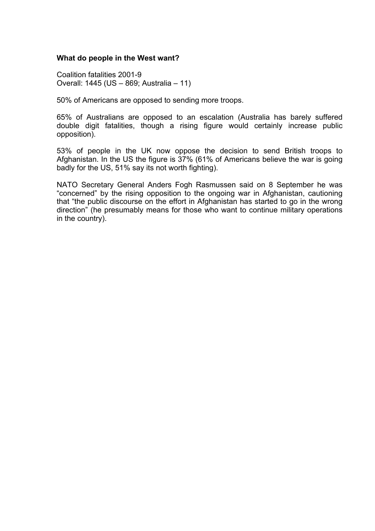### **What do people in the West want?**

Coalition fatalities 2001-9 Overall: 1445 (US – 869; Australia – 11)

50% of Americans are opposed to sending more troops.

65% of Australians are opposed to an escalation (Australia has barely suffered double digit fatalities, though a rising figure would certainly increase public opposition).

53% of people in the UK now oppose the decision to send British troops to Afghanistan. In the US the figure is 37% (61% of Americans believe the war is going badly for the US, 51% say its not worth fighting).

NATO Secretary General Anders Fogh Rasmussen said on 8 September he was "concerned" by the rising opposition to the ongoing war in Afghanistan, cautioning that "the public discourse on the effort in Afghanistan has started to go in the wrong direction" (he presumably means for those who want to continue military operations in the country).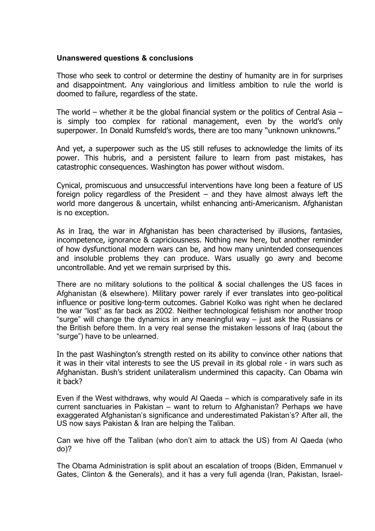## **Unanswered questions & conclusions**

Those who seek to control or determine the destiny of humanity are in for surprises and disappointment. Any vainglorious and limitless ambition to rule the world is doomed to failure, regardless of the state.

The world – whether it be the global financial system or the politics of Central Asia – is simply too complex for rational management, even by the world's only superpower. In Donald Rumsfeld's words, there are too many "unknown unknowns."

And yet, a superpower such as the US still refuses to acknowledge the limits of its power. This hubris, and a persistent failure to learn from past mistakes, has catastrophic consequences. Washington has power without wisdom.

Cynical, promiscuous and unsuccessful interventions have long been a feature of US foreign policy regardless of the President – and they have almost always left the world more dangerous & uncertain, whilst enhancing anti-Americanism. Afghanistan is no exception.

As in Iraq, the war in Afghanistan has been characterised by illusions, fantasies, incompetence, ignorance & capriciousness. Nothing new here, but another reminder of how dysfunctional modern wars can be, and how many unintended consequences and insoluble problems they can produce. Wars usually go awry and become uncontrollable. And yet we remain surprised by this.

There are no military solutions to the political & social challenges the US faces in Afghanistan (& elsewhere). Military power rarely if ever translates into geo-political influence or positive long-term outcomes. Gabriel Kolko was right when he declared the war "lost" as far back as 2002. Neither technological fetishism nor another troop "surge" will change the dynamics in any meaningful way – just ask the Russians or the British before them. In a very real sense the mistaken lessons of Iraq (about the "surge") have to be unlearned.

In the past Washington's strength rested on its ability to convince other nations that it was in their vital interests to see the US prevail in its global role - in wars such as Afghanistan. Bush's strident unilateralism undermined this capacity. Can Obama win it back?

Even if the West withdraws, why would Al Qaeda – which is comparatively safe in its current sanctuaries in Pakistan – want to return to Afghanistan? Perhaps we have exaggerated Afghanistan's significance and underestimated Pakistan's? After all, the US now says Pakistan & Iran are helping the Taliban.

Can we hive off the Taliban (who don't aim to attack the US) from Al Qaeda (who do)?

The Obama Administration is split about an escalation of troops (Biden, Emmanuel v Gates, Clinton & the Generals), and it has a very full agenda (Iran, Pakistan, Israel